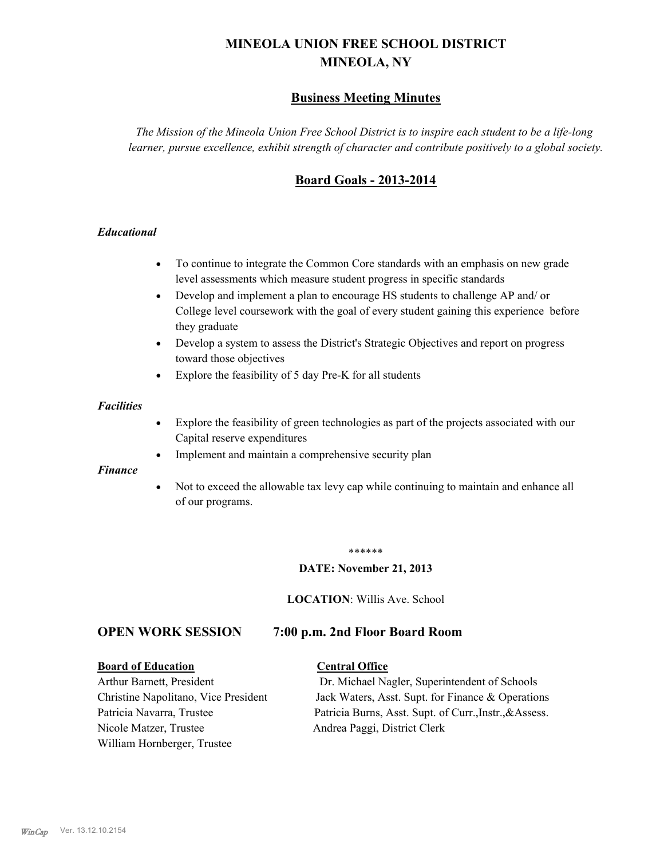# **MINEOLA UNION FREE SCHOOL DISTRICT MINEOLA, NY**

# **Business Meeting Minutes**

*The Mission of the Mineola Union Free School District is to inspire each student to be a life-long learner, pursue excellence, exhibit strength of character and contribute positively to a global society.*

# **Board Goals - 2013-2014**

## *Educational*

- · To continue to integrate the Common Core standards with an emphasis on new grade level assessments which measure student progress in specific standards
- · Develop and implement a plan to encourage HS students to challenge AP and/ or College level coursework with the goal of every student gaining this experience before they graduate
- Develop a system to assess the District's Strategic Objectives and report on progress toward those objectives
- · Explore the feasibility of 5 day Pre-K for all students

#### *Facilities*

- · Explore the feasibility of green technologies as part of the projects associated with our Capital reserve expenditures
- Implement and maintain a comprehensive security plan

#### *Finance*

• Not to exceed the allowable tax levy cap while continuing to maintain and enhance all of our programs.

#### \*\*\*\*\*\*

#### **DATE: November 21, 2013**

**LOCATION**: Willis Ave. School

# **OPEN WORK SESSION 7:00 p.m. 2nd Floor Board Room**

#### **Board of Education Central Office**

Nicole Matzer, Trustee Andrea Paggi, District Clerk William Hornberger, Trustee

Arthur Barnett, President Dr. Michael Nagler, Superintendent of Schools Christine Napolitano, Vice President Jack Waters, Asst. Supt. for Finance & Operations Patricia Navarra, Trustee Patricia Burns, Asst. Supt. of Curr., Instr., &Assess.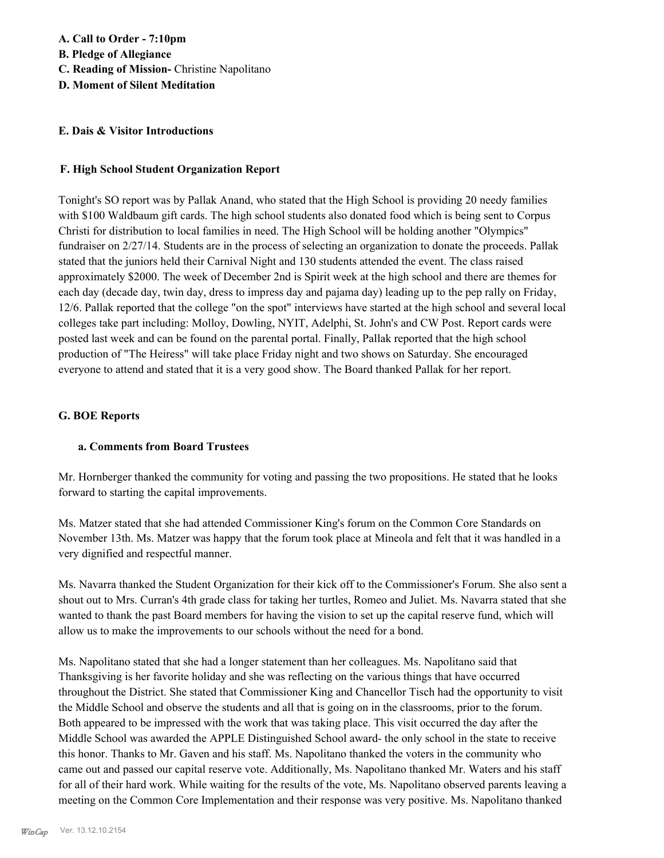#### **E. Dais & Visitor Introductions**

#### **F. High School Student Organization Report**

Tonight's SO report was by Pallak Anand, who stated that the High School is providing 20 needy families with \$100 Waldbaum gift cards. The high school students also donated food which is being sent to Corpus Christi for distribution to local families in need. The High School will be holding another "Olympics" fundraiser on 2/27/14. Students are in the process of selecting an organization to donate the proceeds. Pallak stated that the juniors held their Carnival Night and 130 students attended the event. The class raised approximately \$2000. The week of December 2nd is Spirit week at the high school and there are themes for each day (decade day, twin day, dress to impress day and pajama day) leading up to the pep rally on Friday, 12/6. Pallak reported that the college "on the spot" interviews have started at the high school and several local colleges take part including: Molloy, Dowling, NYIT, Adelphi, St. John's and CW Post. Report cards were posted last week and can be found on the parental portal. Finally, Pallak reported that the high school production of "The Heiress" will take place Friday night and two shows on Saturday. She encouraged everyone to attend and stated that it is a very good show. The Board thanked Pallak for her report.

#### **G. BOE Reports**

## **a. Comments from Board Trustees**

Mr. Hornberger thanked the community for voting and passing the two propositions. He stated that he looks forward to starting the capital improvements.

Ms. Matzer stated that she had attended Commissioner King's forum on the Common Core Standards on November 13th. Ms. Matzer was happy that the forum took place at Mineola and felt that it was handled in a very dignified and respectful manner.

Ms. Navarra thanked the Student Organization for their kick off to the Commissioner's Forum. She also sent a shout out to Mrs. Curran's 4th grade class for taking her turtles, Romeo and Juliet. Ms. Navarra stated that she wanted to thank the past Board members for having the vision to set up the capital reserve fund, which will allow us to make the improvements to our schools without the need for a bond.

Ms. Napolitano stated that she had a longer statement than her colleagues. Ms. Napolitano said that Thanksgiving is her favorite holiday and she was reflecting on the various things that have occurred throughout the District. She stated that Commissioner King and Chancellor Tisch had the opportunity to visit the Middle School and observe the students and all that is going on in the classrooms, prior to the forum. Both appeared to be impressed with the work that was taking place. This visit occurred the day after the Middle School was awarded the APPLE Distinguished School award- the only school in the state to receive this honor. Thanks to Mr. Gaven and his staff. Ms. Napolitano thanked the voters in the community who came out and passed our capital reserve vote. Additionally, Ms. Napolitano thanked Mr. Waters and his staff for all of their hard work. While waiting for the results of the vote, Ms. Napolitano observed parents leaving a meeting on the Common Core Implementation and their response was very positive. Ms. Napolitano thanked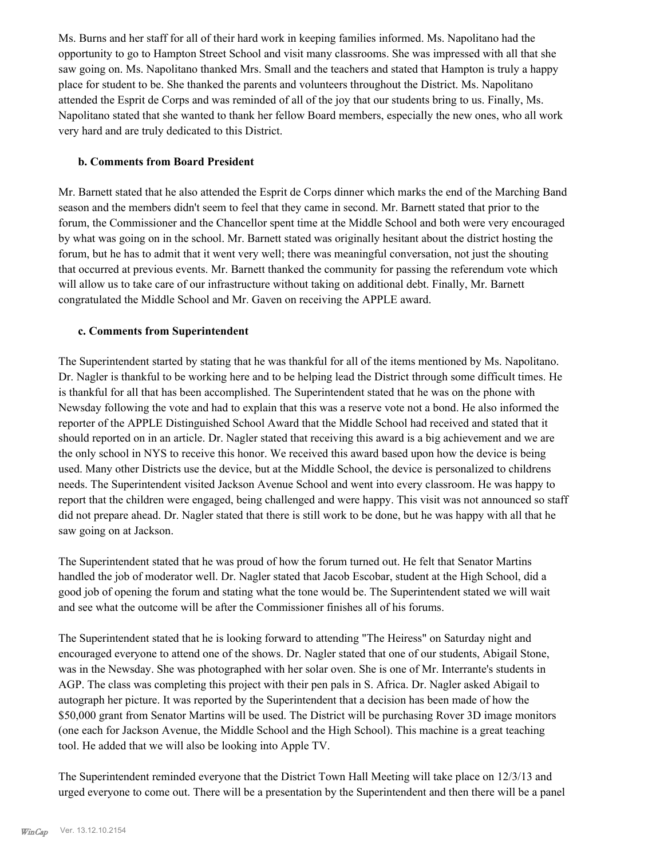Ms. Burns and her staff for all of their hard work in keeping families informed. Ms. Napolitano had the opportunity to go to Hampton Street School and visit many classrooms. She was impressed with all that she saw going on. Ms. Napolitano thanked Mrs. Small and the teachers and stated that Hampton is truly a happy place for student to be. She thanked the parents and volunteers throughout the District. Ms. Napolitano attended the Esprit de Corps and was reminded of all of the joy that our students bring to us. Finally, Ms. Napolitano stated that she wanted to thank her fellow Board members, especially the new ones, who all work very hard and are truly dedicated to this District.

#### **b. Comments from Board President**

Mr. Barnett stated that he also attended the Esprit de Corps dinner which marks the end of the Marching Band season and the members didn't seem to feel that they came in second. Mr. Barnett stated that prior to the forum, the Commissioner and the Chancellor spent time at the Middle School and both were very encouraged by what was going on in the school. Mr. Barnett stated was originally hesitant about the district hosting the forum, but he has to admit that it went very well; there was meaningful conversation, not just the shouting that occurred at previous events. Mr. Barnett thanked the community for passing the referendum vote which will allow us to take care of our infrastructure without taking on additional debt. Finally, Mr. Barnett congratulated the Middle School and Mr. Gaven on receiving the APPLE award.

## **c. Comments from Superintendent**

The Superintendent started by stating that he was thankful for all of the items mentioned by Ms. Napolitano. Dr. Nagler is thankful to be working here and to be helping lead the District through some difficult times. He is thankful for all that has been accomplished. The Superintendent stated that he was on the phone with Newsday following the vote and had to explain that this was a reserve vote not a bond. He also informed the reporter of the APPLE Distinguished School Award that the Middle School had received and stated that it should reported on in an article. Dr. Nagler stated that receiving this award is a big achievement and we are the only school in NYS to receive this honor. We received this award based upon how the device is being used. Many other Districts use the device, but at the Middle School, the device is personalized to childrens needs. The Superintendent visited Jackson Avenue School and went into every classroom. He was happy to report that the children were engaged, being challenged and were happy. This visit was not announced so staff did not prepare ahead. Dr. Nagler stated that there is still work to be done, but he was happy with all that he saw going on at Jackson.

The Superintendent stated that he was proud of how the forum turned out. He felt that Senator Martins handled the job of moderator well. Dr. Nagler stated that Jacob Escobar, student at the High School, did a good job of opening the forum and stating what the tone would be. The Superintendent stated we will wait and see what the outcome will be after the Commissioner finishes all of his forums.

The Superintendent stated that he is looking forward to attending "The Heiress" on Saturday night and encouraged everyone to attend one of the shows. Dr. Nagler stated that one of our students, Abigail Stone, was in the Newsday. She was photographed with her solar oven. She is one of Mr. Interrante's students in AGP. The class was completing this project with their pen pals in S. Africa. Dr. Nagler asked Abigail to autograph her picture. It was reported by the Superintendent that a decision has been made of how the \$50,000 grant from Senator Martins will be used. The District will be purchasing Rover 3D image monitors (one each for Jackson Avenue, the Middle School and the High School). This machine is a great teaching tool. He added that we will also be looking into Apple TV.

The Superintendent reminded everyone that the District Town Hall Meeting will take place on 12/3/13 and urged everyone to come out. There will be a presentation by the Superintendent and then there will be a panel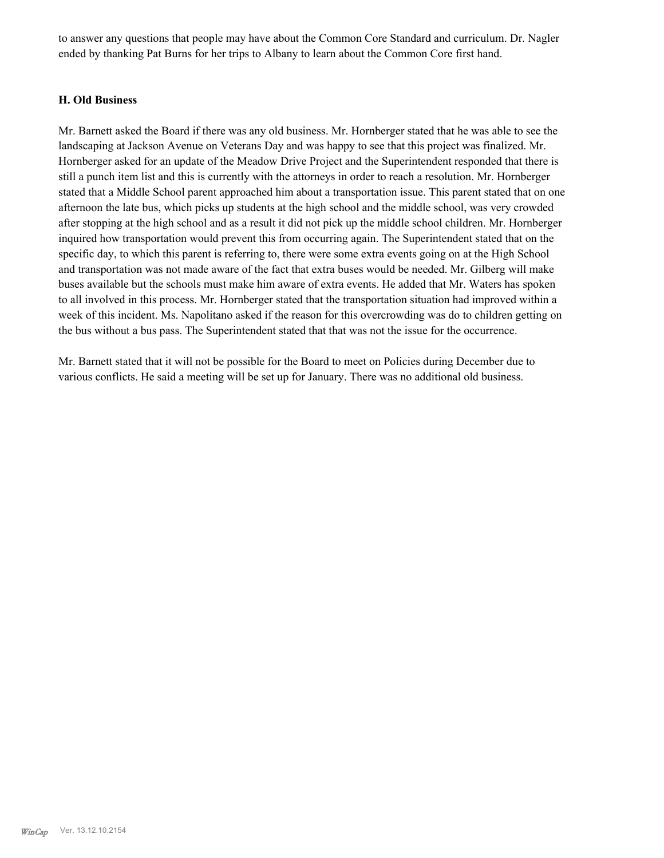to answer any questions that people may have about the Common Core Standard and curriculum. Dr. Nagler ended by thanking Pat Burns for her trips to Albany to learn about the Common Core first hand.

#### **H. Old Business**

Mr. Barnett asked the Board if there was any old business. Mr. Hornberger stated that he was able to see the landscaping at Jackson Avenue on Veterans Day and was happy to see that this project was finalized. Mr. Hornberger asked for an update of the Meadow Drive Project and the Superintendent responded that there is still a punch item list and this is currently with the attorneys in order to reach a resolution. Mr. Hornberger stated that a Middle School parent approached him about a transportation issue. This parent stated that on one afternoon the late bus, which picks up students at the high school and the middle school, was very crowded after stopping at the high school and as a result it did not pick up the middle school children. Mr. Hornberger inquired how transportation would prevent this from occurring again. The Superintendent stated that on the specific day, to which this parent is referring to, there were some extra events going on at the High School and transportation was not made aware of the fact that extra buses would be needed. Mr. Gilberg will make buses available but the schools must make him aware of extra events. He added that Mr. Waters has spoken to all involved in this process. Mr. Hornberger stated that the transportation situation had improved within a week of this incident. Ms. Napolitano asked if the reason for this overcrowding was do to children getting on the bus without a bus pass. The Superintendent stated that that was not the issue for the occurrence.

Mr. Barnett stated that it will not be possible for the Board to meet on Policies during December due to various conflicts. He said a meeting will be set up for January. There was no additional old business.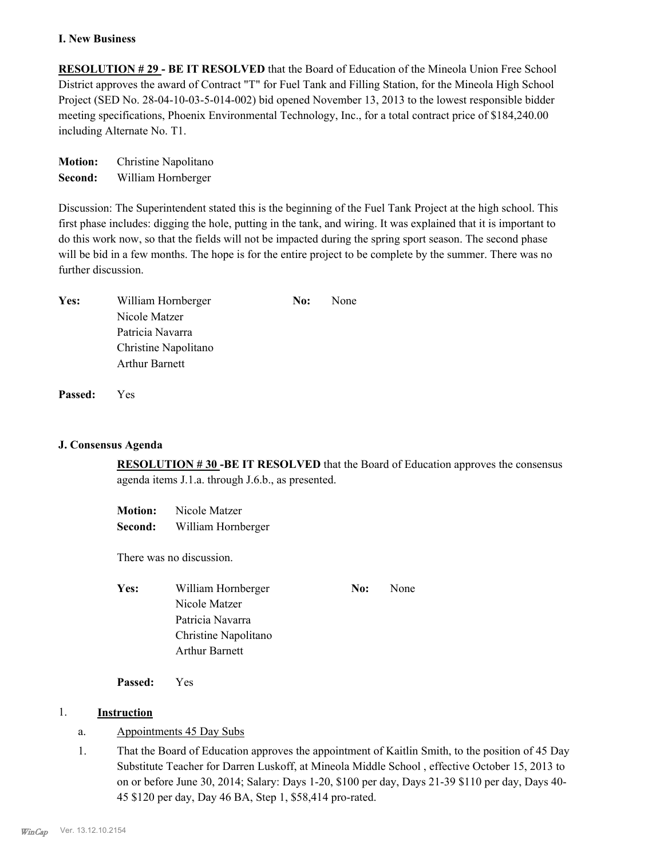#### **I. New Business**

**RESOLUTION # 29 - BE IT RESOLVED** that the Board of Education of the Mineola Union Free School District approves the award of Contract "T" for Fuel Tank and Filling Station, for the Mineola High School Project (SED No. 28-04-10-03-5-014-002) bid opened November 13, 2013 to the lowest responsible bidder meeting specifications, Phoenix Environmental Technology, Inc., for a total contract price of \$184,240.00 including Alternate No. T1.

**Motion:** Christine Napolitano **Second:** William Hornberger

Discussion: The Superintendent stated this is the beginning of the Fuel Tank Project at the high school. This first phase includes: digging the hole, putting in the tank, and wiring. It was explained that it is important to do this work now, so that the fields will not be impacted during the spring sport season. The second phase will be bid in a few months. The hope is for the entire project to be complete by the summer. There was no further discussion.

| Yes: | William Hornberger    | No: | None |
|------|-----------------------|-----|------|
|      | Nicole Matzer         |     |      |
|      | Patricia Navarra      |     |      |
|      | Christine Napolitano  |     |      |
|      | <b>Arthur Barnett</b> |     |      |
|      |                       |     |      |

**Passed:** Yes

## **J. Consensus Agenda**

**RESOLUTION # 30 -BE IT RESOLVED** that the Board of Education approves the consensus agenda items J.1.a. through J.6.b., as presented.

**Motion:** Nicole Matzer **Second:** William Hornberger

There was no discussion.

| <b>Yes:</b> | William Hornberger    | No: | None |
|-------------|-----------------------|-----|------|
|             | Nicole Matzer         |     |      |
|             | Patricia Navarra      |     |      |
|             | Christine Napolitano  |     |      |
|             | <b>Arthur Barnett</b> |     |      |

**Passed:** Yes

## 1. **Instruction**

- a. Appointments 45 Day Subs
- That the Board of Education approves the appointment of Kaitlin Smith, to the position of 45 Day Substitute Teacher for Darren Luskoff, at Mineola Middle School , effective October 15, 2013 to on or before June 30, 2014; Salary: Days 1-20, \$100 per day, Days 21-39 \$110 per day, Days 40- 45 \$120 per day, Day 46 BA, Step 1, \$58,414 pro-rated. 1.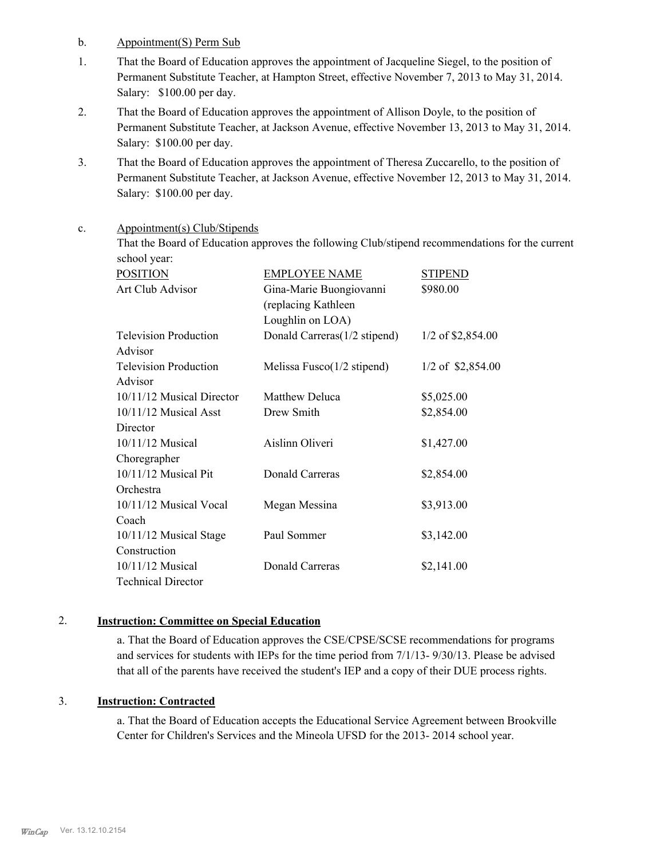b. Appointment(S) Perm Sub

- That the Board of Education approves the appointment of Jacqueline Siegel, to the position of Permanent Substitute Teacher, at Hampton Street, effective November 7, 2013 to May 31, 2014. Salary: \$100.00 per day. 1.
- That the Board of Education approves the appointment of Allison Doyle, to the position of Permanent Substitute Teacher, at Jackson Avenue, effective November 13, 2013 to May 31, 2014. Salary: \$100.00 per day. 2.
- That the Board of Education approves the appointment of Theresa Zuccarello, to the position of Permanent Substitute Teacher, at Jackson Avenue, effective November 12, 2013 to May 31, 2014. Salary: \$100.00 per day. 3.

#### Appointment(s) Club/Stipends c.

That the Board of Education approves the following Club/stipend recommendations for the current school year:

| <b>POSITION</b>              | <b>EMPLOYEE NAME</b>                  | <b>STIPEND</b>      |
|------------------------------|---------------------------------------|---------------------|
| Art Club Advisor             | Gina-Marie Buongiovanni               | \$980.00            |
|                              | (replacing Kathleen                   |                     |
|                              | Loughlin on LOA)                      |                     |
| <b>Television Production</b> | Donald Carreras(1/2 stipend)          | $1/2$ of \$2,854.00 |
| Advisor                      |                                       |                     |
| <b>Television Production</b> | Melissa Fusco $(1/2 \text{ stipend})$ | $1/2$ of \$2,854.00 |
| Advisor                      |                                       |                     |
| 10/11/12 Musical Director    | Matthew Deluca                        | \$5,025.00          |
| $10/11/12$ Musical Asst      | Drew Smith                            | \$2,854.00          |
| Director                     |                                       |                     |
| $10/11/12$ Musical           | Aislinn Oliveri                       | \$1,427.00          |
| Choregrapher                 |                                       |                     |
| 10/11/12 Musical Pit         | <b>Donald Carreras</b>                | \$2,854.00          |
| Orchestra                    |                                       |                     |
| 10/11/12 Musical Vocal       | Megan Messina                         | \$3,913.00          |
| Coach                        |                                       |                     |
| 10/11/12 Musical Stage       | Paul Sommer                           | \$3,142.00          |
| Construction                 |                                       |                     |
| $10/11/12$ Musical           | Donald Carreras                       | \$2,141.00          |
| <b>Technical Director</b>    |                                       |                     |

# 2. **Instruction: Committee on Special Education**

a. That the Board of Education approves the CSE/CPSE/SCSE recommendations for programs and services for students with IEPs for the time period from 7/1/13- 9/30/13. Please be advised that all of the parents have received the student's IEP and a copy of their DUE process rights.

# 3. **Instruction: Contracted**

a. That the Board of Education accepts the Educational Service Agreement between Brookville Center for Children's Services and the Mineola UFSD for the 2013- 2014 school year.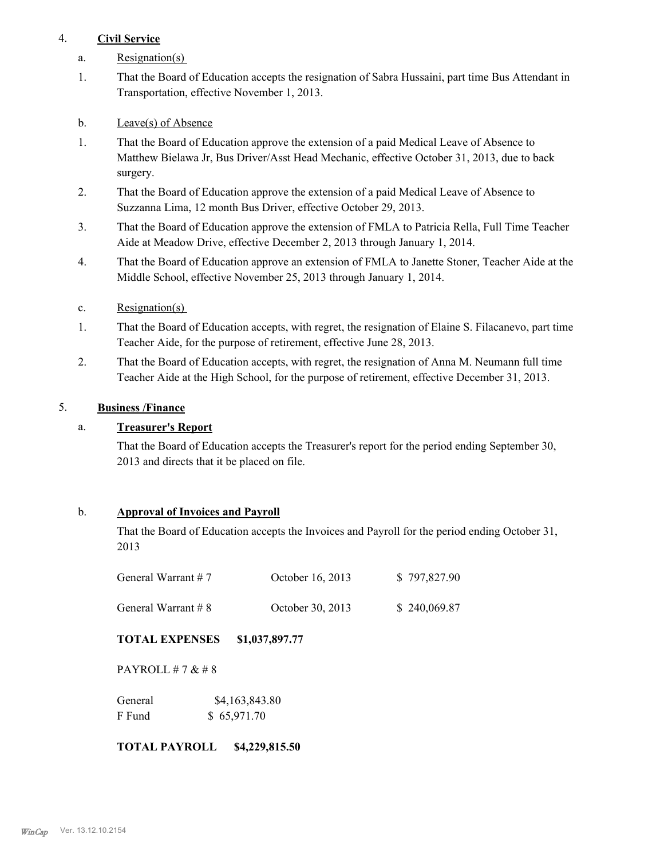# 4. **Civil Service**

- a. Resignation(s)
- That the Board of Education accepts the resignation of Sabra Hussaini, part time Bus Attendant in Transportation, effective November 1, 2013. 1.
- b. Leave(s) of Absence
- That the Board of Education approve the extension of a paid Medical Leave of Absence to Matthew Bielawa Jr, Bus Driver/Asst Head Mechanic, effective October 31, 2013, due to back surgery. 1.
- That the Board of Education approve the extension of a paid Medical Leave of Absence to Suzzanna Lima, 12 month Bus Driver, effective October 29, 2013. 2.
- That the Board of Education approve the extension of FMLA to Patricia Rella, Full Time Teacher Aide at Meadow Drive, effective December 2, 2013 through January 1, 2014. 3.
- That the Board of Education approve an extension of FMLA to Janette Stoner, Teacher Aide at the Middle School, effective November 25, 2013 through January 1, 2014. 4.
- c. Resignation(s)
- That the Board of Education accepts, with regret, the resignation of Elaine S. Filacanevo, part time Teacher Aide, for the purpose of retirement, effective June 28, 2013. 1.
- That the Board of Education accepts, with regret, the resignation of Anna M. Neumann full time Teacher Aide at the High School, for the purpose of retirement, effective December 31, 2013. 2.

# 5. **Business /Finance**

# a. **Treasurer's Report**

That the Board of Education accepts the Treasurer's report for the period ending September 30, 2013 and directs that it be placed on file.

# b. **Approval of Invoices and Payroll**

That the Board of Education accepts the Invoices and Payroll for the period ending October 31, 2013

| General Warrant $# 7$  | October 16, 2013 | \$797,827.90 |
|------------------------|------------------|--------------|
| General Warrant $\# 8$ | October 30, 2013 | \$240,069.87 |

**TOTAL EXPENSES \$1,037,897.77**

PAYROLL # 7 & # 8

| General | \$4,163,843.80 |
|---------|----------------|
| F Fund  | \$65,971.70    |

## **TOTAL PAYROLL \$4,229,815.50**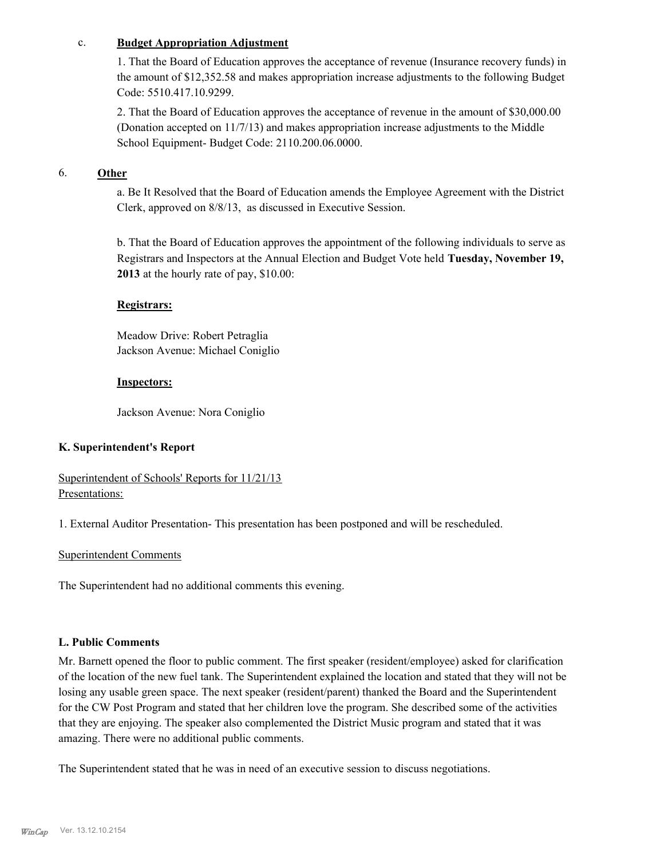#### c. **Budget Appropriation Adjustment**

1. That the Board of Education approves the acceptance of revenue (Insurance recovery funds) in the amount of \$12,352.58 and makes appropriation increase adjustments to the following Budget Code: 5510.417.10.9299.

2. That the Board of Education approves the acceptance of revenue in the amount of \$30,000.00 (Donation accepted on 11/7/13) and makes appropriation increase adjustments to the Middle School Equipment- Budget Code: 2110.200.06.0000.

# 6. **Other**

a. Be It Resolved that the Board of Education amends the Employee Agreement with the District Clerk, approved on 8/8/13, as discussed in Executive Session.

b. That the Board of Education approves the appointment of the following individuals to serve as Registrars and Inspectors at the Annual Election and Budget Vote held **Tuesday, November 19, 2013** at the hourly rate of pay, \$10.00:

#### **Registrars:**

Meadow Drive: Robert Petraglia Jackson Avenue: Michael Coniglio

#### **Inspectors:**

Jackson Avenue: Nora Coniglio

## **K. Superintendent's Report**

Superintendent of Schools' Reports for 11/21/13 Presentations:

1. External Auditor Presentation- This presentation has been postponed and will be rescheduled.

#### Superintendent Comments

The Superintendent had no additional comments this evening.

#### **L. Public Comments**

Mr. Barnett opened the floor to public comment. The first speaker (resident/employee) asked for clarification of the location of the new fuel tank. The Superintendent explained the location and stated that they will not be losing any usable green space. The next speaker (resident/parent) thanked the Board and the Superintendent for the CW Post Program and stated that her children love the program. She described some of the activities that they are enjoying. The speaker also complemented the District Music program and stated that it was amazing. There were no additional public comments.

The Superintendent stated that he was in need of an executive session to discuss negotiations.